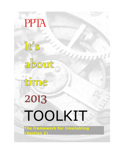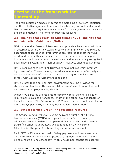# **Section 2: The framework for Timetabling**

The prerequisites on schools in terms of timetabling arise from legislation and the collective agreements and are longstanding and well understood. New constraints or requirements can arise from new government, Ministry or school initiatives. The former include the following:

## **2.1 The National Education Guidelines (NEGs) and National Administrative Guidelines (NAGs)**

NAG 1 states that Boards of Trustees must provide a balanced curriculum in accordance with the New Zealand Curriculum Framework and relevant documents based upon it. Programmes are required to meet individual need, and those with special needs are to receive appropriate support. Students should have access to a nationally and internationally recognised qualifications system, and Maori education initiatives should be advanced.

NAG 2 requires each Board of Trustees to have policies which promote high levels of staff performance, use educational resources effectively and recognise the needs of students, as well as be a good employer and comply with Collective Agreement conditions.

NAG 5 states that a safe physical environment must be provided for students and teachers. This responsibility is reinforced through the Health and Safety in Employment legislation.

Under NAG 6 boards are required to comply with all general legislation requirements such as attendance, length of the school day and length of the school year. (The Education Act 1989 restricts the school timetable to ten half-days per week, a half day being no less than 2 hours.)

# **2.2 School Staffing Order – the teaching resource**

The *School Staffing Order In Council [1](#page-1-0)* delivers a number of full-time teacher equivalents (FTTEs) each year to schools for curriculum, administrative and guidance and pastoral functions. This is the staffing  $(GMFS<sup>2</sup>)$  $(GMFS<sup>2</sup>)$  $(GMFS<sup>2</sup>)$  a school is guaranteed will be funded by the Ministry of Education for the year. It is based largely on the school's roll.

Each FTTE is 25 hours per week. Salary payments and leave are based on the teaching week being composed of a 25-hour timetable, and 0.2 being 5 hours or one school day. With 5 hours non-contact for each full

-

<span id="page-1-0"></span> $<sup>1</sup>$  An Education (School Staffing) Order in Council is made annually under Section 91H of the Education Act</sup> 1989 and establishes the entitlement and limitations on staffing.

<span id="page-1-1"></span><sup>2</sup> Guaranteed Minimum Formula Staffing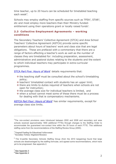time teacher, up to 20 hours can be scheduled for timetabled teaching each week<sup>[3](#page-2-0)</sup>.

Schools may employ staffing from specific sources such as  $TFEA<sup>4</sup>$  $TFEA<sup>4</sup>$  $TFEA<sup>4</sup>$ ,  $STAR<sup>5</sup>$  $STAR<sup>5</sup>$  $STAR<sup>5</sup>$ , etc and most employ more teachers than their Ministry funded-entitlement using their operations grant or locally raised funds<sup>[6](#page-2-3)</sup>.

#### **2.3 Collective Employment Agreements – working conditions**

The Secondary Teachers' Collective Agreement (STCA) and Area School Teachers' Collective Agreement (ASTCA) provide some specific parameters about hours of teachers' work and class size that are legal obligations. These are prefaced with a commentary that there are a range of factors affecting a teacher's work as well as the number of classes they are timetabled for: including preparation, assessment, administrative and pastoral duties relating to the students and the extent to which individual teachers may participate in extra-curricular programmes.

STCA *Part Five*: *[Hours of Work](http://ppta.org.nz/index.php/collective-agreements/stca/91-part-five)[7](#page-2-4)* details requirements that:

- \* the teaching staff must be consulted about the school's timetabling policy;
- $\triangle$  teachers' timetabled contact with students has an upper limit;
- $\triangle$  there are limits to duties required of teachers when schools are not open for instruction;
- $\triangle$  the average class size for individual teachers is limited, and
- \* when a school cannot meet some of these there must be a process for dealing with that ie compensatory mechanisms.

ASTCA *[Part Four: Hours of Work](http://ppta.org.nz/index.php/collective-agreements/astca/137-astca-part-four)[8](#page-2-5)* has similar requirements, except for average class size limits.

<span id="page-2-1"></span><sup>4</sup> Targeted Funding for Educational Achievement

-

<span id="page-2-0"></span> $3$ The non-contact provisions were introduced between 2002 and 2006 and secondary and area schools received approximately 1800 additional FTTEs through changes to the Staffing Order to accommodate the guaranteed non-contact time within the 25 hours of each FTTE. This additional staffing came from the recommendations of the Staffing Review Group (2000).

<span id="page-2-2"></span><sup>5</sup> Secondary Tertiary Alignment Resource

<span id="page-2-5"></span><span id="page-2-4"></span><span id="page-2-3"></span> $6$  The tri-partite Secondary Schools Staffing Group (from the 2010 bargaining) found that large schools are disadvantaged by the staffing formulae, and agreed some recommendations, which have yet to be progressed. See appendix 2.